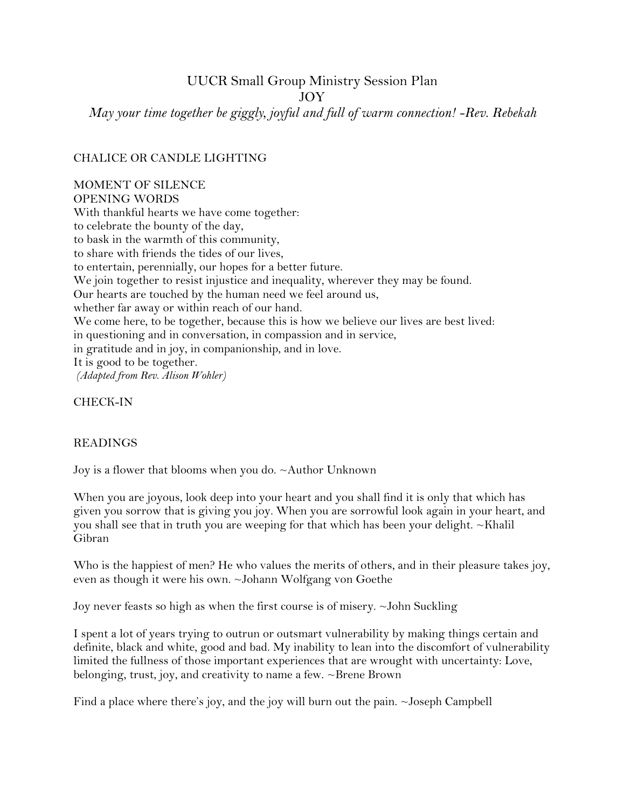# UUCR Small Group Ministry Session Plan

JOY

*May your time together be giggly, joyful and full of warm connection! -Rev. Rebekah*

### CHALICE OR CANDLE LIGHTING

## MOMENT OF SILENCE

OPENING WORDS With thankful hearts we have come together: to celebrate the bounty of the day, to bask in the warmth of this community, to share with friends the tides of our lives, to entertain, perennially, our hopes for a better future. We join together to resist injustice and inequality, wherever they may be found. Our hearts are touched by the human need we feel around us, whether far away or within reach of our hand. We come here, to be together, because this is how we believe our lives are best lived: in questioning and in conversation, in compassion and in service, in gratitude and in joy, in companionship, and in love. It is good to be together. *(Adapted from Rev. Alison Wohler)*

CHECK-IN

#### READINGS

Joy is a flower that blooms when you do. ~Author Unknown

When you are joyous, look deep into your heart and you shall find it is only that which has given you sorrow that is giving you joy. When you are sorrowful look again in your heart, and you shall see that in truth you are weeping for that which has been your delight.  $\sim$ Khalil [Gibran](http://www.brainyquote.com/quotes/authors/k/khalil_gibran.html)

Who is the happiest of men? He who values the merits of others, and in their pleasure takes joy, even as though it were his own. ~Johann Wolfgang von Goethe

Joy never feasts so high as when the first course is of misery. ~John Suckling

[I spent a lot of years trying to outrun or outsmart vulnerability by making things certain and](http://www.brainyquote.com/quotes/quotes/b/brenebrown553064.html?src=t_joy)  [definite, black and white, good and bad. My inability to lean into the discomfort of vulnerability](http://www.brainyquote.com/quotes/quotes/b/brenebrown553064.html?src=t_joy)  [limited the fullness of those important experiences that are wrought with uncertainty: Love,](http://www.brainyquote.com/quotes/quotes/b/brenebrown553064.html?src=t_joy)  [belonging, trust, joy, and creativity to name a few.](http://www.brainyquote.com/quotes/quotes/b/brenebrown553064.html?src=t_joy) [~Brene Brown](http://www.brainyquote.com/quotes/authors/b/brene_brown.html)

Find a place where there's joy, and the joy will burn out the pain. ~Joseph Campbell